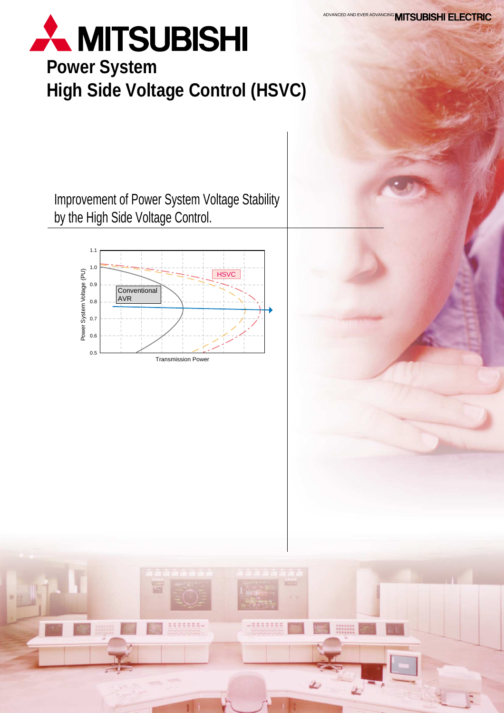# **A MITSUBISHI**

## **Power System High Side Voltage Control (HSVC)**

Improvement of Power System Voltage Stability by the High Side Voltage Control.



=======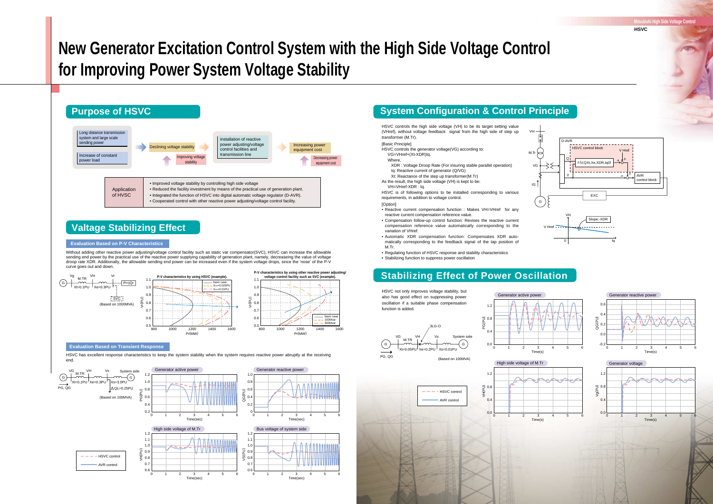## **Valtage Stabilizing Effect**

HSVC has excellent response characteristics to keep the system stability when the system requires reactive power abruptly at the receiving end.

#### **Evaluation Based on Transient Response**

## **New Generator Excitation Control System with the High Side Voltage Control for Improving Power System Voltage Stability**

**Mitsubishi High Side Voltage Control**

**HSVC**





#### **Evaluation Based on P-V Characteristics**

Without adding other reactive power adjusting/voltage control facility such as static var compensator(SVC), HSVC can increase the allowable sending end power by the practical use of the reactive power supplying capability of generation plant, namely, decreaseing the value of voltage droop rate XDR. Additionally, the allowable sending end power can be increased even if the system voltage drops, since the 'nose' of the P-V curve goes out and down.

> HSVC not only improves voltage stability, but also has good effect on suppressing power oscillation if a suitable phase compensation function is added.











## **System Configuration & Control Principle**

HSVC controls the high side voltage (VH) to be its target setting value (VHref), without voltage feedback signal from the high side of step up transformer (M.Tr). [Basic Principle] HSVC controls the generator voltage(VG) according to: VG=VHref+(Xt-XDR)Iq. Where, XDR : Voltage Droop Rate (For insuring stable parallel operation) Iq: Reactive current of generator (Q/VG) Xt: Reactance of the step up transformer(M.Tr) As the result, the high side voltage (VH) is kept to be: VH=VHref-XDR · Iq. HSVC is of following options to be installed corresponding to various requirements, in addition to voltage control.

#### [Option]

- Reactive current compensation function : Makes VH=VHref for any reactive current compensation reference value.
- Compensation follow-up control function: Revises the reactive current compensation reference value automatically corresponding to the variation of VHref.
- Automatic XDR compensation function: Compensates XDR auto-• matically corresponding to the feedback signal of the tap position of M.Tr.
- Regulating function of HSVC response and stability characteristics
- Stabilizing function to suppress power oscillation





## **Stabilizing Effect of Power Oscillation**

PG (PU